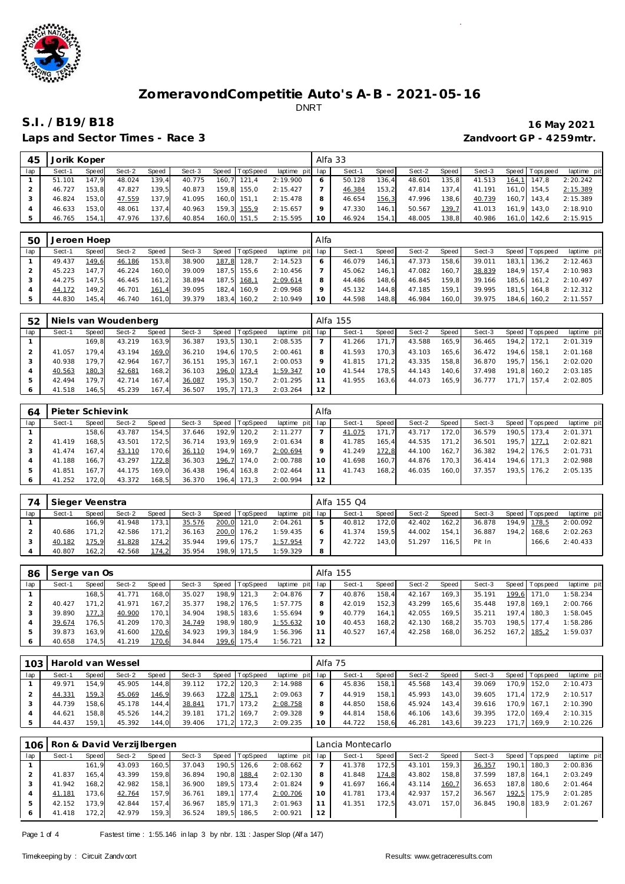

Laps and Sector Times - Race 3 *Zandvoort GP - 4259mtr.* 

| 45  | Jorik Koper |       |        |       |        |                |                 | Alfa 33 |        |       |        |         |        |                 |             |
|-----|-------------|-------|--------|-------|--------|----------------|-----------------|---------|--------|-------|--------|---------|--------|-----------------|-------------|
| lap | Sect-1      | Speed | Sect-2 | Speed | Sect-3 | Speed TopSpeed | laptime pit lap |         | Sect-1 | Speed | Sect-2 | Speed I | Sect-3 | Speed Tops peed | laptime pit |
|     | 51.101      | 147.9 | 48.024 | 139.4 | 40.775 | 160,7 121,4    | 2:19.900        | 6       | 50.128 | 136.4 | 48.601 | 135.8   | 41.513 | 164,1 147,8     | 2:20.242    |
|     | 46.727      | 153.8 | 47.827 | 139.5 | 40.873 | 159.8 155.0    | 2:15.427        |         | 46.384 | 153.2 | 47.814 | 137.4   | 41.191 | 161.0 154.5     | 2:15.389    |
|     | 46.824      | 153.0 | 47.559 | 137.9 | 41.095 | 160.0 151.1    | 2:15.478        | 8       | 46.654 | 156,3 | 47.996 | 138.6   | 40.739 | 160.7 143.4     | 2:15.389    |
|     | 46.633      | 153.0 | 48.061 | 137.4 | 40.963 | 159,3 155,9    | 2:15.657        | Q       | 47.330 | 146.1 | 50.567 | 139,7   | 41.013 | 161.9 143.0     | 2:18.910    |
| 5   | 46.765      | 154.1 | 47.976 | 137,6 | 40.854 | 160,0 151,5    | 2:15.595        | 10      | 46.924 | 154.1 | 48.005 | 138,8   | 40.986 | 161.0 142.6     | 2:15.915    |

| 50  | Jeroen Hoep |       |        |       |        |                |                 | Alfa |        |       |        |       |        |                   |                      |
|-----|-------------|-------|--------|-------|--------|----------------|-----------------|------|--------|-------|--------|-------|--------|-------------------|----------------------|
| lap | Sect-1      | Speed | Sect-2 | Speed | Sect-3 | Speed TopSpeed | laptime pit lap |      | Sect-1 | Speed | Sect-2 | Speed | Sect-3 | Speed   Tops peed | laptime pit          |
|     | 49.437      | 149,6 | 46.186 | 153,8 | 38.900 | 187,8 128,7    | 2:14.523        | 6    | 46.079 | 146.1 | 47.373 | 158.6 | 39.011 |                   | 183,1 136,2 2:12.463 |
|     | 45.223      | 147.7 | 46.224 | 160.0 | 39.009 | 187.5 155.6    | 2:10.456        |      | 45.062 | 146.1 | 47.082 | 160.7 | 38.839 | 184,9 157,4       | 2:10.983             |
|     | 44.275      | 147.5 | 46.445 | 161.2 | 38.894 | 187,5 168,1    | 2:09.614        | 8    | 44.486 | 148.6 | 46.845 | 159.8 | 39.166 | 185,6 161,2       | 2:10.497             |
|     | 44.172      | 149.2 | 46.701 | 161,4 | 39.095 | 182.4 160.9    | 2:09.968        | 9    | 45.132 | 144.8 | 47.185 | 159.1 | 39.995 | 181.5 164.8       | 2:12.312             |
|     | 44.830      | 145.4 | 46.740 | 161,0 | 39.379 | 183,4 160,2    | 2:10.949        | 10   | 44.598 | 148,8 | 46.984 | 160,0 | 39.975 | 184,6 160,2       | 2:11.557             |

| 52  |        |       | Niels van Woudenberg |       |        |       |                |                 |                 | Alfa 155 |       |        |       |        |                 |             |
|-----|--------|-------|----------------------|-------|--------|-------|----------------|-----------------|-----------------|----------|-------|--------|-------|--------|-----------------|-------------|
| lap | Sect-1 | Speed | Sect-2               | Speed | Sect-3 |       | Speed TopSpeed | laptime pit lap |                 | Sect-1   | Speed | Sect-2 | Speed | Sect-3 | Speed Tops peed | laptime pit |
|     |        | 169.8 | 43.219               | 163.9 | 36.387 | 193.5 | 130.1          | 2:08.535        |                 | 41.266   | 171.7 | 43.588 | 165.9 | 36.465 | 194.2 172.1     | 2:01.319    |
|     | 41.057 | 179.4 | 43.194               | 169,0 | 36.210 | 194.6 | 170.5          | 2:00.461        | 8               | 41.593   | 170.3 | 43.103 | 165.6 | 36.472 | 194.6 158.1     | 2:01.168    |
|     | 40.938 | 179.7 | 42.964               | 167.7 | 36.151 |       | 195.3 167.1    | 2:00.053        | 9               | 41.815   | 171.2 | 43.335 | 158.8 | 36.870 | 195.7 156.1     | 2:02.020    |
|     | 40.563 | 180,3 | 42.681               | 168,2 | 36.103 | 196,0 | 173,4          | 1:59.347        | 10 <sup>°</sup> | 41.544   | 178.5 | 44.143 | 140.6 | 37.498 | 191.8 160.2     | 2:03.185    |
|     | 42.494 | 179.7 | 42.714               | 167.4 | 36.087 |       | 195,3 150,7    | 2:01.295        |                 | 41.955   | 163.6 | 44.073 | 165.9 | 36.777 | 171.7 157.4     | 2:02.805    |
|     | 41.518 | 146.5 | 45.239               | 167,4 | 36.507 | 195.7 | 171.3          | 2:03.264        | 12              |          |       |        |       |        |                 |             |

| 64  | Pieter Schievink |       |        |              |        |       |          |             | Alfa            |        |       |        |       |        |       |                 |             |
|-----|------------------|-------|--------|--------------|--------|-------|----------|-------------|-----------------|--------|-------|--------|-------|--------|-------|-----------------|-------------|
| lap | Sect-1           | Speed | Sect-2 | <b>Speed</b> | Sect-3 | Speed | TopSpeed | laptime pit | lap             | Sect-1 | Speed | Sect-2 | Speed | Sect-3 |       | Speed Tops peed | laptime pit |
|     |                  | 158.6 | 43.787 | 154.5        | 37.646 | 192.9 | 120,2    | 2:11.277    |                 | 41.075 | 171.7 | 43.717 | 172.0 | 36.579 | 190.5 | 173.4           | 2:01.371    |
|     | 41.419           | 168.5 | 43.501 | 172.5        | 36.714 | 193.9 | 169.9    | 2:01.634    | 8               | 41.785 | 165.4 | 44.535 | 171.2 | 36.501 |       | 195.7 177.1     | 2:02.821    |
|     | 41.474           | 167.4 | 43.110 | 170,6        | 36.110 | 194.9 | 169,7    | 2:00.694    |                 | 41.249 | 172.8 | 44.100 | 162.7 | 36.382 |       | 194.2 176.5     | 2:01.731    |
|     | 41.188           | 166.7 | 43.297 | 172,8        | 36.303 | 196,7 | 174.0    | 2:00.788    | 10 <sup>°</sup> | 41.698 | 160.7 | 44.876 | 170.3 | 36.414 |       | 194.6 171.3     | 2:02.988    |
| 5   | 41.851           | 167.7 | 44.175 | 169,0        | 36.438 | 196.4 | 163.8    | 2:02.464    |                 | 41.743 | 168.2 | 46.035 | 160.0 | 37.357 | 193.5 | 176.2           | 2:05.135    |
| 6   | 41.252           | 172.0 | 43.372 | 168,5        | 36.370 | 196.4 | , 171,3  | 2:00.994    | 12              |        |       |        |       |        |       |                 |             |

| 74  | Sieger Veenstra |        |        |       |        |       |                |                 |   | Alfa 155 Q4 |       |        |       |        |                 |             |
|-----|-----------------|--------|--------|-------|--------|-------|----------------|-----------------|---|-------------|-------|--------|-------|--------|-----------------|-------------|
| lap | Sect-1          | Speed  | Sect-2 | Speed | Sect-3 |       | Speed TopSpeed | laptime pit lap |   | Sect-1      | Speed | Sect-2 | Speed | Sect-3 | Speed Tops peed | laptime pit |
|     |                 | 166.9  | 41.948 | 173.1 | 35.576 | 200,0 | 121.0          | 2:04.261        | 5 | 40.812      | 172.0 | 42.402 | 162.2 | 36.878 | 194.9 178.5     | 2:00.092    |
|     | 40.686          | 171.21 | 42.586 | 171,2 | 36.163 | 200,0 | 176,2          | 1:59.435        | 6 | 41.374      | 159.5 | 44.002 | 154.1 | 36.887 | 194.2 168.6     | 2:02.263    |
|     | 40.182          | 175,9  | 41.828 | 174,2 | 35.944 | 199.6 | 175.7          | 1:57.954        |   | 42.722      | 143.0 | 51.297 | 116.5 | Pit In | 166.6           | 2:40.433    |
|     | 40.807          | 162.2  | 42.568 | 174.2 | 35.954 | 198,9 | 171.5          | 1:59.329        | 8 |             |       |        |       |        |                 |             |

| 86  | Serge van Os |       |        |       |        |       |                  |                 |    | Alfa 155 |       |        |       |        |                 |             |
|-----|--------------|-------|--------|-------|--------|-------|------------------|-----------------|----|----------|-------|--------|-------|--------|-----------------|-------------|
| lap | Sect-1       | Speed | Sect-2 | Speed | Sect-3 |       | Speed   TopSpeed | laptime pit lap |    | Sect-1   | Speed | Sect-2 | Speed | Sect-3 | Speed Tops peed | laptime pit |
|     |              | 168.5 | 41.771 | 168,0 | 35.027 |       | 198.9 121.3      | 2:04.876        |    | 40.876   | 158.4 | 42.167 | 169.3 | 35.191 | 199,6 171,0     | 1:58.234    |
|     | 40.427       | 171.2 | 41.971 | 167.2 | 35.377 | 198.2 | 176.5            | 1:57.775        | 8  | 42.019   | 152.3 | 43.299 | 165.6 | 35.448 | 197.8 169.1     | 2:00.766    |
|     | 39.890       | 177.3 | 40.900 | 170,1 | 34.904 |       | 198,5 183,6      | 1:55.694        | 9  | 40.779   | 164.1 | 42.055 | 169.5 | 35.211 | 197.4 180.3     | 1:58.045    |
|     | 39.674       | 176.5 | 41.209 | 170,3 | 34.749 |       | 198,9 180,9      | 1:55.632        | 10 | 40.453   | 168.2 | 42.130 | 168,2 | 35.703 | 198,5 177,4     | 1:58.286    |
|     | 39.873       | 163.9 | 41.600 | 170,6 | 34.923 |       | 199.3 184.9      | 1:56.396        |    | 40.527   | 167.4 | 42.258 | 168.0 | 36.252 | 167,2 185,2     | 1:59.037    |
|     | 40.658       | 174.5 | 41.219 | 170,6 | 34.844 |       | 199,6 175,4      | 1:56.721        | 12 |          |       |        |       |        |                 |             |

| 103 |        |       | Harold van Wessel |       |        |       |                |                 | Alfa 75 |        |       |        |       |        |            |                |             |
|-----|--------|-------|-------------------|-------|--------|-------|----------------|-----------------|---------|--------|-------|--------|-------|--------|------------|----------------|-------------|
| lap | Sect-1 | Speed | Sect-2            | Speed | Sect-3 |       | Speed TopSpeed | laptime pit lap |         | Sect-1 | Speed | Sect-2 | Speed | Sect-3 |            | Speed Topspeed | laptime pit |
|     | 49.971 | 154.9 | 45.905            | 144.8 | 39.112 | 172.2 | 120.3          | 2:14.988        |         | 45.836 | 158.1 | 45.568 | 143.4 | 39.069 | 170.9      | 152.0          | 2:10.473    |
|     | 44.331 | 159,3 | 45.069            | 146,9 | 39.663 | 172,8 | 175,1          | 2:09.063        |         | 44.919 | 158.1 | 45.993 | 143.0 | 39.605 | 171<br>.41 | 172.9          | 2:10.517    |
|     | 44.739 | 158.6 | 45.178            | 144.4 | 38.841 | 171.7 | 173.2          | 2:08.758        |         | 44.850 | 158.6 | 45.924 | 143.4 | 39.616 |            | 170.9 167.1    | 2:10.390    |
|     | 44.621 | 158.8 | 45.526            | 144.2 | 39.181 | 171.2 | 169.7          | 2:09.328        |         | 44.814 | 158.6 | 46.106 | 143.6 | 39.395 | 172.0      | 169.4          | 2:10.315    |
|     | 44.437 | 159.1 | 45.392            | 144,0 | 39.406 | 171.2 | 172.3          | 2:09.235        | 10      | 44.722 | 158.6 | 46.281 | 143.6 | 39.223 | 171        | 169.9          | 2:10.226    |

| 106 |        |       | Ron & David Verzijlbergen |       |        |       |          |             |     | Lancia Montecarlo |         |        |       |        |       |                   |             |
|-----|--------|-------|---------------------------|-------|--------|-------|----------|-------------|-----|-------------------|---------|--------|-------|--------|-------|-------------------|-------------|
| lap | Sect-1 | Speed | Sect-2                    | Speed | Sect-3 | Speed | TopSpeed | laptime pit | lap | Sect-1            | Speed I | Sect-2 | Speed | Sect-3 |       | Speed   Tops peed | laptime pit |
|     |        | 161.9 | 43.093                    | 160,5 | 37.043 | 190,5 | 126,6    | 2:08.662    |     | 41.378            | 172,5   | 43.101 | 159.3 | 36.357 | 190.1 | 180.3             | 2:00.836    |
|     | 41.837 | 165.4 | 43.399                    | 159.8 | 36.894 | 190,8 | 188,4    | 2:02.130    | 8   | 41.848            | 174.8   | 43.802 | 158.8 | 37.599 |       | 187.8 164.1       | 2:03.249    |
|     | 41.942 | 168.2 | 42.982                    | 158.1 | 36.900 | 189.5 | 173.4    | 2:01.824    |     | 41.697            | 166.4   | 43.114 | 160,7 | 36.653 | 187.8 | 180.6             | 2:01.464    |
|     | 41.181 | 173.6 | 42.764                    | 157.9 | 36.761 | 189.1 | 177.4    | 2:00.706    | 10  | 41.781            | 173.4   | 42.937 | 157.2 | 36.567 | 192,5 | 175.9             | 2:01.285    |
|     | 42.152 | 173.9 | 42.844                    | 157.4 | 36.967 | 185.9 | 171.3    | 2:01.963    |     | 41.351            | 172.5   | 43.071 | 157.0 | 36.845 | 190.8 | 183.9             | 2:01.267    |
|     | 41.418 | 172.2 | 42.979                    | 159,3 | 36.524 | 189,5 | 186,5    | 2:00.921    | 12  |                   |         |        |       |        |       |                   |             |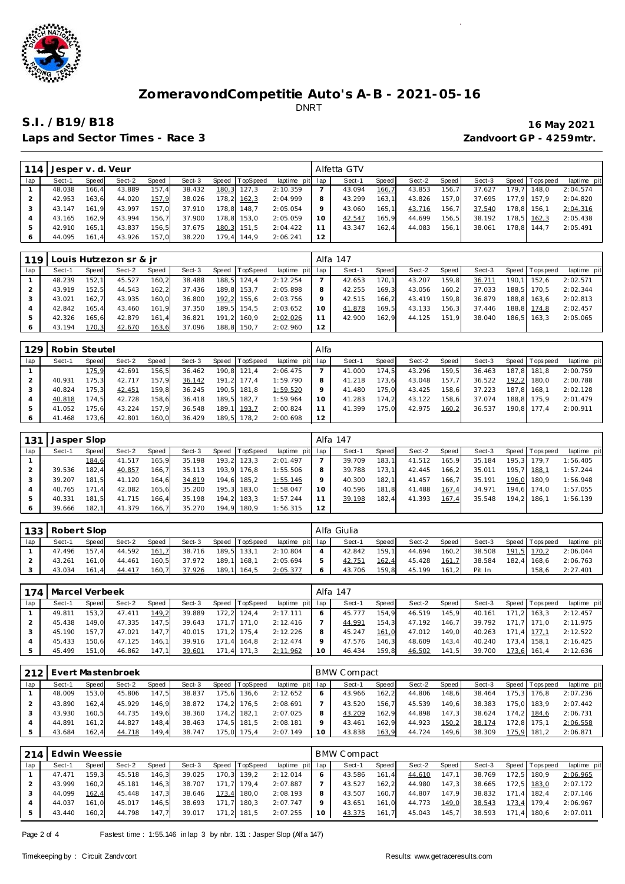

Laps and Sector Times - Race 3 *Zandvoort GP - 4259mtr.* 

| 114 | Jesper v. d. Veur |       |        |       |        |       |             |                 |                 | Alfetta GTV |       |        |       |        |       |                   |             |
|-----|-------------------|-------|--------|-------|--------|-------|-------------|-----------------|-----------------|-------------|-------|--------|-------|--------|-------|-------------------|-------------|
| lap | Sect-1            | Speed | Sect-2 | Speed | Sect-3 | Speed | TopSpeed    | laptime pit lap |                 | Sect-1      | Speed | Sect-2 | Speed | Sect-3 |       | Speed   Tops peed | laptime pit |
|     | 48.038            | 166.4 | 43.889 | 157.4 | 38.432 |       | 180,3 127,3 | 2:10.359        |                 | 43.094      | 166,7 | 43.853 | 156.7 | 37.627 | 179.7 | 148.0             | 2:04.574    |
|     | 42.953            | 163.6 | 44.020 | 157,9 | 38.026 |       | 178,2 162,3 | 2:04.999        | 8               | 43.299      | 163.1 | 43.826 | 157.0 | 37.695 |       | 177.9 157.9       | 2:04.820    |
|     | 43.147            | 161.9 | 43.997 | 157.0 | 37.910 |       | 178.8 148.7 | 2:05.054        | $\circ$         | 43.060      | 165.1 | 43.716 | 156,7 | 37.540 | 178.8 | 156.1             | 2:04.316    |
|     | 43.165            | 162.9 | 43.994 | 156.7 | 37.900 |       | 178.8 153.0 | 2:05.059        | 10 <sup>°</sup> | 42.547      | 165.9 | 44.699 | 156.5 | 38.192 |       | 178.5 162.3       | 2:05.438    |
| 5   | 42.910            | 165.1 | 43.837 | 156,5 | 37.675 |       | 180,3 151,5 | 2:04.422        |                 | 43.347      | 162.4 | 44.083 | 156.1 | 38.061 | 178.8 | 144.7             | 2:05.491    |
|     | 44.095            | 161.4 | 43.926 | 157.0 | 38.220 |       | 179.4 144.9 | 2:06.241        | 12              |             |       |        |       |        |       |                   |             |

| 119 |        |       | Louis Hutzezon sr & ir |       |        |       |          |                 |    | Alfa 147 |       |        |       |        |       |                   |             |
|-----|--------|-------|------------------------|-------|--------|-------|----------|-----------------|----|----------|-------|--------|-------|--------|-------|-------------------|-------------|
| lap | Sect-1 | Speed | Sect-2                 | Speed | Sect-3 | Speed | TopSpeed | laptime pit lap |    | Sect-1   | Speed | Sect-2 | Speed | Sect-3 |       | Speed   Tops peed | laptime pit |
|     | 48.239 | 152.1 | 45.527                 | 160,2 | 38.488 | 188.5 | 124.4    | 2:12.254        |    | 42.653   | 170.1 | 43.207 | 159.8 | 36.711 | 190.1 | 152.6             | 2:02.571    |
|     | 43.919 | 152.5 | 44.543                 | 162,2 | 37.436 | 189.8 | 153.7    | 2:05.898        | 8  | 42.255   | 169.3 | 43.056 | 160.2 | 37.033 |       | 188.5 170.5       | 2:02.344    |
|     | 43.021 | 162.7 | 43.935                 | 160,0 | 36.800 | 192,2 | 155.6    | 2:03.756        | 9  | 42.515   | 166.2 | 43.419 | 159.8 | 36.879 |       | 188.8 163.6       | 2:02.813    |
|     | 42.842 | 165.4 | 43.460                 | 161.9 | 37.350 | 189.5 | 154.5    | 2:03.652        | 10 | 41.878   | 169,5 | 43.133 | 156,3 | 37.446 |       | 188,8 174,8       | 2:02.457    |
|     | 42.326 | 165.6 | 42.879                 | 161,4 | 36.821 | 191.2 | 160.9    | 2:02.026        |    | 42.900   | 162.9 | 44.125 | 151.9 | 38.040 |       | 186.5 163.3       | 2:05.065    |
|     | 43.194 | 170,3 | 42.670                 | 163,6 | 37.096 | 188,8 | 150.7    | 2:02.960        | 12 |          |       |        |       |        |       |                   |             |

| 129 | Robin Steutel |       |        |       |        |       |          |             | Alfa    |        |       |        |       |        |         |            |             |
|-----|---------------|-------|--------|-------|--------|-------|----------|-------------|---------|--------|-------|--------|-------|--------|---------|------------|-------------|
| lap | Sect-1        | Speed | Sect-2 | Speed | Sect-3 | Speed | TopSpeed | laptime pit | lap     | Sect-1 | Speed | Sect-2 | Speed | Sect-3 | Speed I | Tops pee d | laptime pit |
|     |               | 175.9 | 42.691 | 156,5 | 36.462 | 190.8 | 121.4    | 2:06.475    |         | 41.000 | 174.5 | 43.296 | 159.5 | 36.463 | 187.8   | 181.8      | 2:00.759    |
|     | 40.931        | 175.3 | 42.717 | 157,9 | 36.142 | 191,2 | 177.4    | 1:59.790    | 8       | 41.218 | 173.6 | 43.048 | 157.7 | 36.522 | 192.2   | 180.0      | 2:00.788    |
|     | 40.824        | 175.3 | 42.451 | 159,8 | 36.245 | 190.5 | 181.8    | 1:59.520    | $\circ$ | 41.480 | 175.0 | 43.425 | 158.6 | 37.223 | 187.8   | 168.1      | 2:02.128    |
|     | 40.818        | 174.5 | 42.728 | 158.6 | 36.418 | 189.5 | 182.7    | 1:59.964    | 10      | 41.283 | 174.2 | 43.122 | 158.6 | 37.074 | 188.8   | 175.9      | 2:01.479    |
|     | 41.052        | 175.6 | 43.224 | 157,9 | 36.548 | 189.1 | 193,7    | 2:00.824    |         | 41.399 | 175.0 | 42.975 | 160,2 | 36.537 | 190.8   | 177.4      | 2:00.911    |
|     | 41.468        | 173.6 | 42.801 | 160,0 | 36.429 | 189.5 | 178.2    | 2:00.698    | 12      |        |       |        |       |        |         |            |             |

| 131 | Jasper Slop |       |        |       |        |       |                |                 |                 | Alfa 147 |       |        |       |        |                 |             |
|-----|-------------|-------|--------|-------|--------|-------|----------------|-----------------|-----------------|----------|-------|--------|-------|--------|-----------------|-------------|
| lap | Sect-1      | Speed | Sect-2 | Speed | Sect-3 |       | Speed TopSpeed | laptime pit lap |                 | Sect-1   | Speed | Sect-2 | Speed | Sect-3 | Speed Tops peed | laptime pit |
|     |             | 184,6 | 41.517 | 165.9 | 35.198 | 193.2 | 123.3          | 2:01.497        |                 | 39.709   | 183.1 | 41.512 | 165.9 | 35.184 | 195.3 179.7     | 1:56.405    |
|     | 39.536      | 182.4 | 40.857 | 166.7 | 35.113 |       | 193.9 176.8    | 1:55.506        | 8               | 39.788   | 173.1 | 42.445 | 166.2 | 35.011 | 195,7 188,1     | 1:57.244    |
|     | 39.207      | 181.5 | 41.120 | 164.6 | 34.819 |       | 194,6 185,2    | 1:55.146        |                 | 40.300   | 182.1 | 41.457 | 166.7 | 35.191 | 196,0 180,9     | 1:56.948    |
|     | 40.765      | 171.4 | 42.082 | 165,6 | 35.200 |       | 195,3 183,0    | 1:58.047        | 10 <sup>°</sup> | 40.596   | 181.8 | 41.488 | 167,4 | 34.971 | 194.6 174.0     | 1:57.055    |
|     | 40.331      | 181.5 | 41.715 | 166,4 | 35.198 |       | 194,2 183,3    | 1:57.244        |                 | 39.198   | 182,4 | 41.393 | 167,4 | 35.548 | 194,2 186,1     | 1:56.139    |
|     | 39.666      | 182.1 | 41.379 | 166.7 | 35.270 |       | 194.9 180.9    | 1:56.315        | 12              |          |       |        |       |        |                 |             |

|     | 133 Robert Slop |       |        |              |        |       |                |                 | Alfa Giulia |         |        |       |        |                 |             |
|-----|-----------------|-------|--------|--------------|--------|-------|----------------|-----------------|-------------|---------|--------|-------|--------|-----------------|-------------|
| lap | Sect-1          | Speed | Sect-2 | <b>Speed</b> | Sect-3 |       | Speed TopSpeed | laptime pit lap | Sect-1      | Speed I | Sect-2 | Speed | Sect-3 | Speed Tops peed | laptime pit |
|     | 47.496          | 157.4 | 44.592 | 161.7        | 38.716 |       | 189,5 133,1    | 2:10.804        | 42.842      | 159.1   | 44.694 | 160.2 | 38.508 | 191.5 170.2     | 2:06.044    |
|     | 43.261          | 161.0 | 44.461 | 160.5        | 37.972 | 189.1 | 168.1          | 2:05.694        | 42.751      | 162,4   | 45.428 | 161.7 | 38.584 | 182.4 168.6     | 2:06.763    |
|     | 43.034          | 161.4 | 44.417 | 160.7        | 37.926 | 189.1 | 164.5          | 2:05.377        | 43.706      | 159.8   | 45.199 | 161.2 | Pit In | 158.6           | 2:27.401    |

|     | 174   Marcel Verbeek |       |        |       |        |       |          |                 |    | Alfa 147 |         |        |       |        |       |                   |             |
|-----|----------------------|-------|--------|-------|--------|-------|----------|-----------------|----|----------|---------|--------|-------|--------|-------|-------------------|-------------|
| lap | Sect-1               | Speed | Sect-2 | Speed | Sect-3 | Speed | TopSpeed | laptime pit lap |    | Sect-1   | Speed I | Sect-2 | Speed | Sect-3 |       | Speed   Tops peed | laptime pit |
|     | 49.811               | 153.2 | 47.411 | 149.2 | 39.889 | 172.2 | 124.4    | 2:17.111        |    | 45.777   | 154.9   | 46.519 | 145.9 | 40.161 | 171.2 | 163.3             | 2:12.457    |
|     | 45.438               | 149.0 | 47.335 | 147,5 | 39.643 | 171.7 | 171.0    | 2:12.416        |    | 44.991   | 154.3   | 47.192 | 146.7 | 39.792 |       | 171.7 171.0       | 2:11.975    |
|     | 45.190               | 157.7 | 47.021 | 147.7 | 40.015 | 171.2 | 175.4    | 2:12.226        |    | 45.247   | 161.0   | 47.012 | 149.0 | 40.263 | 171.4 | 177.1             | 2:12.522    |
|     | 45.433               | 150.6 | 47.125 | 146.1 | 39.916 | 171.4 | 164.8    | 2:12.474        |    | 47.576   | 146.3   | 48.609 | 143.4 | 40.240 | 173.4 | 158.1             | 2:16.425    |
| -5  | 45.499               | 151.0 | 46.862 | 147.1 | 39.601 | 171.4 | 171,3    | 2:11.962        | 10 | 46.434   | 159,8   | 46.502 | 141,5 | 39.700 | 173,6 | 161,4             | 2:12.636    |

| 212 |        |       | Evert Mastenbroek |              |        |       |                |             |     | BMW Compact |       |        |       |        |                   |             |
|-----|--------|-------|-------------------|--------------|--------|-------|----------------|-------------|-----|-------------|-------|--------|-------|--------|-------------------|-------------|
| lap | Sect-1 | Speed | Sect-2            | <b>Speed</b> | Sect-3 |       | Speed TopSpeed | laptime pit | lap | Sect-1      | Speed | Sect-2 | Speed | Sect-3 | Speed   Tops peed | laptime pit |
|     | 48.009 | 153.0 | 45.806            | 147,5        | 38.837 | 175.6 | 136.6          | 2:12.652    | 6   | 43.966      | 162.2 | 44.806 | 148.6 | 38.464 | 175.3 176.8       | 2:07.236    |
|     | 43.890 | 162.4 | 45.929            | 146.9        | 38.872 | 174.2 | 176.5          | 2:08.691    |     | 43.520      | 156.7 | 45.539 | 149.6 | 38.383 | 175.0 183.9       | 2:07.442    |
|     | 43.930 | 160.5 | 44.735            | 149.6        | 38.360 | 174,2 | 182.1          | 2:07.025    | 8   | 43.209      | 162.9 | 44.898 | 147.3 | 38.624 | 174,2 184,6       | 2:06.731    |
|     | 44.891 | 161.2 | 44.827            | 148.4        | 38.463 | 174.5 | 181.5          | 2:08.181    | 9   | 43.461      | 162.9 | 44.923 | 150,2 | 38.174 | 172.8 175.1       | 2:06.558    |
|     | 43.684 | 162.4 | 44.718            | 149,4        | 38.747 | 75.0  | 175.4          | 2:07.149    | 10  | 43.838      | 163,9 | 44.724 | 149.6 | 38.309 | 175,9 181,2       | 2:06.871    |

| 214 | Edwin Weessie |       |        |       |        |       |                |                 |    | <b>BMW Compact</b> |       |        |       |        |                 |             |
|-----|---------------|-------|--------|-------|--------|-------|----------------|-----------------|----|--------------------|-------|--------|-------|--------|-----------------|-------------|
| lap | Sect-1        | Speed | Sect-2 | Speed | Sect-3 |       | Speed TopSpeed | laptime pit lap |    | Sect-1             | Speed | Sect-2 | Speed | Sect-3 | Speed Tops peed | laptime pit |
|     | 47.471        | 159.3 | 45.518 | 146,3 | 39.025 |       | 170,3 139,2    | 2:12.014        |    | 43.586             | 161.4 | 44.610 | 147.1 | 38.769 | 172.5 180.9     | 2:06.965    |
|     | 43.999        | 160.2 | 45.181 | 146.3 | 38.707 | 171.7 | 179.4          | 2:07.887        |    | 43.527             | 162.2 | 44.980 | 147.3 | 38.665 | 172,5 183,0     | 2:07.172    |
|     | 44.099        | 162.4 | 45.448 | 147.3 | 38.646 | 173,4 | 180.0          | 2:08.193        |    | 43.507             | 160.7 | 44.807 | 147.9 | 38.832 | 171.4 182.4     | 2:07.146    |
|     | 44.037        | 161.0 | 45.017 | 146.5 | 38.693 | 171.7 | 180.3          | 2:07.747        |    | 43.651             | 161.0 | 44.773 | 149,0 | 38.543 | 173,4 179,4     | 2:06.967    |
|     | 43.440        | 160.2 | 44.798 | 147.7 | 39.017 |       | 171,2 181,5    | 2:07.255        | 10 | 43.375             | 161,7 | 45.043 | 145.7 | 38.593 | 171.4 180.6     | 2:07.011    |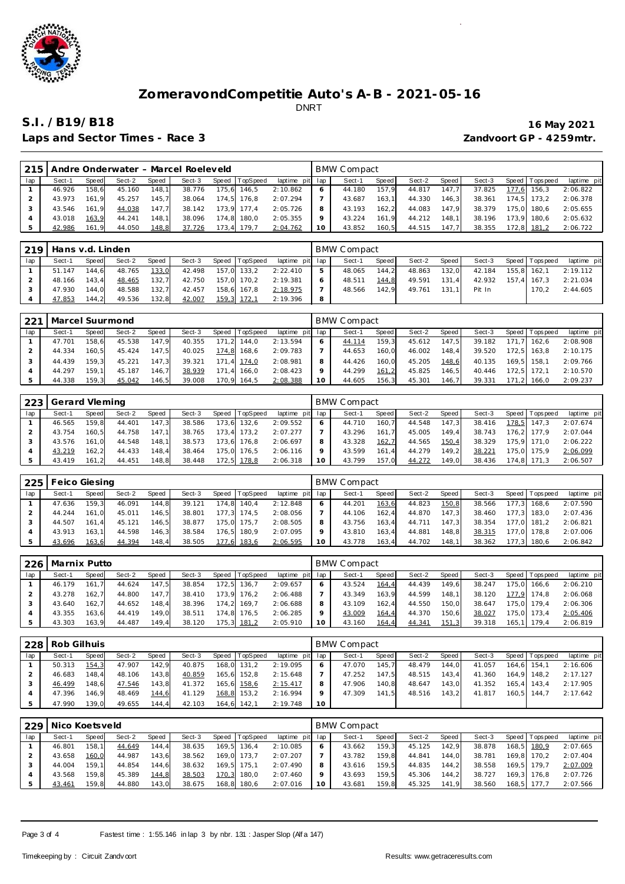

Laps and Sector Times - Race 3 *Zandvoort GP - 4259mtr.* 

| 215 |        |       |        |        | Andre Onderwater - Marcel Roeleveld |       |             |                 | BMW Compact |       |        |       |        |       |           |             |
|-----|--------|-------|--------|--------|-------------------------------------|-------|-------------|-----------------|-------------|-------|--------|-------|--------|-------|-----------|-------------|
| lap | Sect-1 | Speed | Sect-2 | Speed  | Sect-3                              | Speed | TopSpeed    | laptime pit lap | Sect-1      | Speed | Sect-2 | Speed | Sect-3 | Speed | Tops peed | laptime pit |
|     | 46.926 | 158.6 | 45.160 | 148.11 | 38.776                              | 175.6 | 146.5       | 2:10.862        | 44.180      | 157.9 | 44.817 | 147.7 | 37.825 | 177.6 | 156.3     | 2:06.822    |
|     | 43.973 | 161.9 | 45.257 | 145.7  | 38.064                              |       | 174.5 176.8 | 2:07.294        | 43.687      | 163.1 | 44.330 | 146.3 | 38.361 | 174.5 | 173.2     | 2:06.378    |
|     | 43.546 | 161.9 | 44.038 | 147.7  | 38.142                              |       | 173.9 177.4 | 2:05.726        | 43.193      | 162.2 | 44.083 | 147.9 | 38.379 | 175.0 | 180.6     | 2:05.655    |
|     | 43.018 | 163.9 | 44.241 | 148.1  | 38.096                              | 174.8 | 180.0       | 2:05.355        | 43.224      | 161.9 | 44.212 | 148.1 | 38.196 | 173.9 | 180.6     | 2:05.632    |
|     | 42.986 | 161.9 | 44.050 | 148,8  | 37.726                              | 173,4 | 179.7       | 2:04.762        | 43.852      | 160.5 | 44.515 | 147.7 | 38.355 | 172,8 | 181.2     | 2:06.722    |

| 219 |        | Hans v.d. Linden<br>Speed TopSpeed<br>Sect-2<br>Sect-3<br>Sect-1<br>Speed<br>Speed<br>133.0<br>48.765<br>157.0 133.2<br>144.6<br>42.498<br>51.147 |        |       |        |  |             |                 |    | <b>BMW Compact</b> |         |        |         |        |                   |             |
|-----|--------|---------------------------------------------------------------------------------------------------------------------------------------------------|--------|-------|--------|--|-------------|-----------------|----|--------------------|---------|--------|---------|--------|-------------------|-------------|
| lap |        |                                                                                                                                                   |        |       |        |  |             | laptime pit lap |    | Sect-1             | Speed I | Sect-2 | Speed I | Sect-3 | Speed   Tops peed | laptime pit |
|     |        |                                                                                                                                                   |        |       |        |  |             | 2:22.410        | b. | 48.065             | 144.2   | 48.863 | 132.0   | 42.184 | 155.8 162.1       | 2:19.112    |
|     | 48.166 | 143.4                                                                                                                                             | 48.465 | 132.7 | 42.750 |  | 157.0 170.2 | 2:19.381        |    | 48.511             | 144.8   | 49.591 | 131.4   | 42.932 | 157.4 167.3       | 2:21.034    |
|     | 47.930 | 144.0                                                                                                                                             | 48.588 | 132.7 | 42.457 |  | 158,6 167,8 | 2:18.975        |    | 48.566             | 142.9   | 49.761 | 131.1   | Pit In | 170.2             | 2:44.605    |
|     | 47.853 | 144.2                                                                                                                                             | 49.536 | 132.8 | 42.007 |  | 159,3 172,1 | 2:19.396        | 8  |                    |         |        |         |        |                   |             |

| 221 | Marcel Suurmond |       |        |       |        |           |                 |                 |    | <b>BMW Compact</b> |       |        |       |        |     |                |             |
|-----|-----------------|-------|--------|-------|--------|-----------|-----------------|-----------------|----|--------------------|-------|--------|-------|--------|-----|----------------|-------------|
| lap | Sect-1          | Speed | Sect-2 | Speed | Sect-3 | Speed   T | <b>TopSpeed</b> | laptime pit lap |    | Sect-1             | Speed | Sect-2 | Speed | Sect-3 |     | Speed Topspeed | laptime pit |
|     | 47.701          | 158.6 | 45.538 | 147.9 | 40.355 | 171.2     | 144.0           | 2:13.594        |    | 44.114             | 159.3 | 45.612 | 147.5 | 39.182 | 171 | 162.6          | 2:08.908    |
|     | 44.334          | 160.5 | 45.424 | 147.5 | 40.025 | 174.8     | 168,6           | 2:09.783        |    | 44.653             | 160.0 | 46.002 | 148.4 | 39.520 |     | 172.5 163.8    | 2:10.175    |
|     | 44.439          | 159.3 | 45.221 | 147.3 | 39.321 | 171.4     | 174.0           | 2:08.981        | 8  | 44.426             | 160.0 | 45.205 | 148.6 | 40.135 |     | 169.5 158.1    | 2:09.766    |
|     | 44.297          | 159.1 | 45.187 | 146.7 | 38.939 | 171.4     | 166.0           | 2:08.423        |    | 44.299             | 161,2 | 45.825 | 146.5 | 40.446 |     | 172.5 172.1    | 2:10.570    |
|     | 44.338          | 159.3 | 45.042 | 146,5 | 39.008 | 170,9     | 164,5           | 2:08.388        | 10 | 44.605             | 156,3 | 45.301 | 146.7 | 39.331 |     | 171,2 166,0    | 2:09.237    |

| 223 | Gerard Vleming |       |        |        |        |       |          |                 |    | <b>BMW Compact</b> |        |        |       |        |                 |             |
|-----|----------------|-------|--------|--------|--------|-------|----------|-----------------|----|--------------------|--------|--------|-------|--------|-----------------|-------------|
| lap | Sect-1         | Speed | Sect-2 | Speed  | Sect-3 | Speed | TopSpeed | laptime pit lap |    | Sect-1             | Speed  | Sect-2 | Speed | Sect-3 | Speed Tops peed | laptime pit |
|     | 46.565         | 159.8 | 44.401 | 147.3  | 38.586 | 173.6 | 132,6    | 2:09.552        |    | 44.710             | 160.71 | 44.548 | 147.3 | 38.416 | 178.5 147.3     | 2:07.674    |
|     | 43.754         | 160.5 | 44.758 | 147.11 | 38.765 | 173.4 | 173.2    | 2:07.277        |    | 43.296             | 161    | 45.005 | 149.4 | 38.743 | 176.2 177.9     | 2:07.044    |
|     | 43.576         | 161.0 | 44.548 | 148.1  | 38.573 | 173.6 | 176.8    | 2:06.697        |    | 43.328             | 162,7  | 44.565 | 150,4 | 38.329 | 175.9 171.0     | 2:06.222    |
|     | 43.219         | 162.2 | 44.433 | 148,4  | 38.464 | 175.0 | 176.5    | 2:06.116        |    | 43.599             | 161.4  | 44.279 | 149.2 | 38.221 | 175.0 175.9     | 2:06.099    |
|     | 43.419         | 161.2 | 44.451 | 148,8  | 38.448 | 172.5 | 178,8    | 2:06.318        | 10 | 43.799             | 157.0  | 44.272 | 149.0 | 38.436 | 174.8 171.3     | 2:06.507    |

| 225 | <b>Feico Giesing</b> |       |        |       |        |       |          |             |     | <b>BMW Compact</b> |         |        |        |        |       |                   |             |
|-----|----------------------|-------|--------|-------|--------|-------|----------|-------------|-----|--------------------|---------|--------|--------|--------|-------|-------------------|-------------|
| lap | Sect-1               | Speed | Sect-2 | Speed | Sect-3 | Speed | TopSpeed | laptime pit | lap | Sect-1             | Speed I | Sect-2 | Speed  | Sect-3 |       | Speed   Tops peed | laptime pit |
|     | 47.636               | 159.3 | 46.091 | 144.8 | 39.121 | 174.8 | 140.4    | 2:12.848    | 6   | 44.201             | 163,6   | 44.823 | 150,8  | 38.566 | 177.3 | 168.6             | 2:07.590    |
|     | 44.244               | 161.0 | 45.011 | 146.5 | 38.801 | 177.3 | 174.5    | 2:08.056    |     | 44.106             | 162.4   | 44.870 | 147.3  | 38.460 |       | 177.3 183.0       | 2:07.436    |
|     | 44.507               | 161.4 | 45.121 | 146,5 | 38.877 | 175.0 | 175.7    | 2:08.505    |     | 43.756             | 163.4   | 44.711 | 147.3  | 38.354 |       | 177.0 181.2       | 2:06.821    |
|     | 43.913               | 163.1 | 44.598 | 146,3 | 38.584 | 176,5 | 180.9    | 2:07.095    |     | 43.810             | 163.4   | 44.881 | 148.81 | 38.315 | 177.0 | 178.8             | 2:07.006    |
|     | 43.696               | 163,6 | 44.394 | 148,4 | 38.505 | 177,6 | 183,6    | 2:06.595    |     | 43.778             | 163,4   | 44.702 | 148.1  | 38.362 | 177.3 | 180.6             | 2:06.842    |

| 226 | Marnix Putto |       |        |       |        |                |             |     | BMW Compact |       |        |       |        |       |                 |             |
|-----|--------------|-------|--------|-------|--------|----------------|-------------|-----|-------------|-------|--------|-------|--------|-------|-----------------|-------------|
| lap | Sect-1       | Speed | Sect-2 | Speed | Sect-3 | Speed TopSpeed | laptime pit | lap | Sect-1      | Speed | Sect-2 | Speed | Sect-3 |       | Speed Tops peed | laptime pit |
|     | 46.179       | 161.7 | 44.624 | 147.5 | 38.854 | 172.5 136.7    | 2:09.657    | 6   | 43.524      | 164,4 | 44.439 | 149.6 | 38.247 | 175.0 | 166.6           | 2:06.210    |
|     | 43.278       | 162.7 | 44.800 | 147.7 | 38.410 | 173.9 176.2    | 2:06.488    |     | 43.349      | 163.9 | 44.599 | 148.1 | 38.120 | 177.9 | 174.8           | 2:06.068    |
|     | 43.640       | 162.7 | 44.652 | 148,4 | 38.396 | 174.2 169.7    | 2:06.688    | 8   | 43.109      | 162.4 | 44.550 | 150,0 | 38.647 | 175.0 | 179.4           | 2:06.306    |
|     | 43.355       | 163.6 | 44.419 | 149.0 | 38.511 | 174.8 176.5    | 2:06.285    | Q   | 43.009      | 164,4 | 44.370 | 150.6 | 38.027 | 175.0 | 173.4           | 2:05.406    |
|     | 43.303       | 163.9 | 44.487 | 149.4 | 38.120 | 175,3 181,2    | 2:05.910    | 10  | 43.160      | 164,4 | 44.341 | 151,3 | 39.318 |       | 165.1 179.4     | 2:06.819    |

|     | 228   Rob Gilhuis |       |        |        |        |                |                 |         | BMW Compact |       |        |       |        |                   |             |
|-----|-------------------|-------|--------|--------|--------|----------------|-----------------|---------|-------------|-------|--------|-------|--------|-------------------|-------------|
| lap | Sect-1            | Speed | Sect-2 | Speed  | Sect-3 | Speed TopSpeed | laptime pit lap |         | Sect-1      | Speed | Sect-2 | Speed | Sect-3 | Speed   Tops peed | laptime pit |
|     | 50.313            | 154.3 | 47.907 | 142.9  | 40.875 | 168.0 131.2    | 2:19.095        | 6       | 47.070      | 145.7 | 48.479 | 144.0 | 41.057 | 164.6 154.1       | 2:16.606    |
|     | 46.683            | 148.4 | 48.106 | 143.8  | 40.859 | 165,6 152,8    | 2:15.648        |         | 47.252      | 147.5 | 48.515 | 143.4 | 41.360 | 164.9 148.2       | 2:17.127    |
|     | 46.499            | 148.6 | 47.546 | 143,8  | 41.372 | 165,6 158,6    | 2:15.417        | 8       | 47.906      | 140.8 | 48.647 | 143.0 | 41.352 | 165.4 143.4       | 2:17.905    |
|     | 47.396            | 146.9 | 48.469 | 144,6  | 41.129 | 168,8 153,2    | 2:16.994        | $\circ$ | 47.309      | 141.5 | 48.516 | 143.2 | 41.817 | 160.5 144.7       | 2:17.642    |
|     | 47.990            | 139.0 | 49.655 | 144, 4 | 42.103 | 164.6 142.1    | 2:19.748        | 10      |             |       |        |       |        |                   |             |

| 229 | Nico Koetsveld |                    |        |       |        |       |          |             |     | BMW Compact |       |        |       |        |                 |             |
|-----|----------------|--------------------|--------|-------|--------|-------|----------|-------------|-----|-------------|-------|--------|-------|--------|-----------------|-------------|
| lap | Sect-1         | Speed              | Sect-2 | Speed | Sect-3 | Speed | TopSpeed | laptime pit | lap | Sect-1      | Speed | Sect-2 | Speed | Sect-3 | Speed Tops peed | laptime pit |
|     | 46.801         | 158.1              | 44.649 | 144.4 | 38.635 | 169.5 | 136.4    | 2:10.085    | 6   | 43.662      | 159.3 | 45.125 | 142.9 | 38.878 | 168.5 180.9     | 2:07.665    |
|     | 43.658         | 160.0              | 44.987 | 143.6 | 38.562 | 169.0 | 173.7    | 2:07.207    |     | 43.782      | 159.8 | 44.841 | 144.0 | 38.781 | 169.8 170.2     | 2:07.404    |
|     | 44.004         | 159.1 <sub>1</sub> | 44.854 | 144.6 | 38.632 | 169.5 | 175.1    | 2:07.490    | 8   | 43.616      | 159.5 | 44.835 | 144.2 | 38.558 | 169.5 179.7     | 2:07.009    |
|     | 43.568         | 159.8              | 45.389 | 144,8 | 38.503 | 170,3 | 180.0    | 2:07.460    | Q   | 43.693      | 159.5 | 45.306 | 144.2 | 38.727 | 169.3 176.8     | 2:07.726    |
|     | 43.461         | 159.8              | 44.880 | 143.0 | 38.675 | 168.8 | 180.6    | 2:07.016    | 10  | 43.681      | 159.8 | 45.325 | 141.9 | 38.560 | 168.5 177.7     | 2:07.566    |